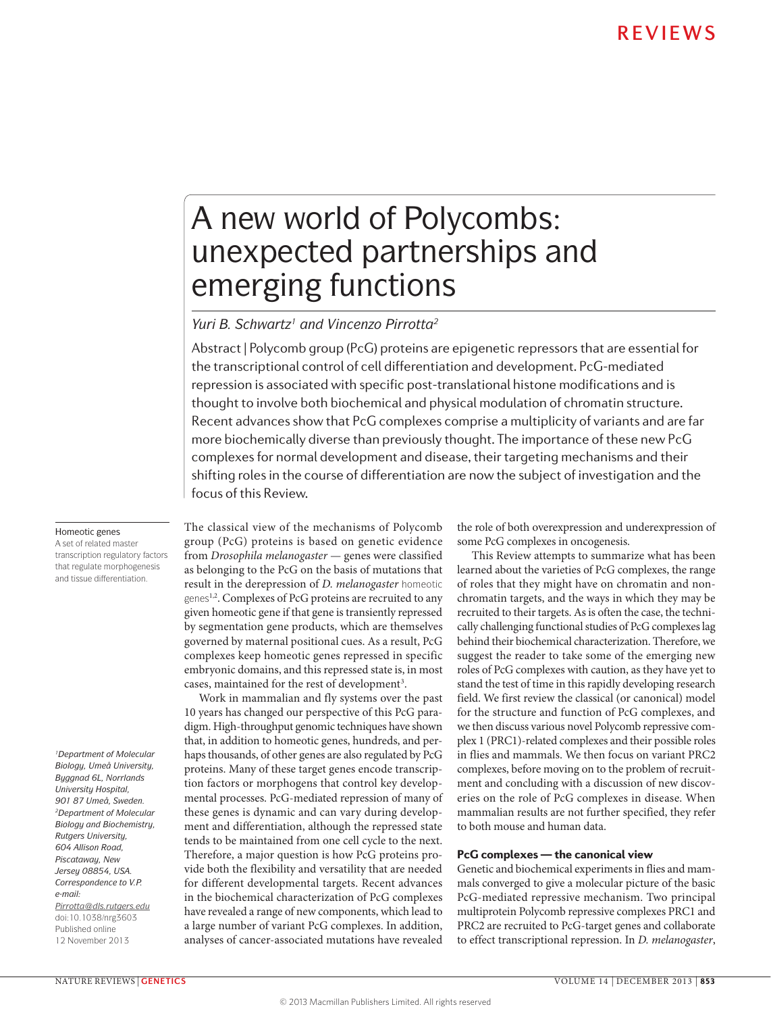# A new world of Polycombs: unexpected partnerships and emerging functions

### *Yuri B. Schwartz1 and Vincenzo Pirrotta2*

Abstract | Polycomb group (PcG) proteins are epigenetic repressors that are essential for the transcriptional control of cell differentiation and development. PcG-mediated repression is associated with specific post-translational histone modifications and is thought to involve both biochemical and physical modulation of chromatin structure. Recent advances show that PcG complexes comprise a multiplicity of variants and are far more biochemically diverse than previously thought. The importance of these new PcG complexes for normal development and disease, their targeting mechanisms and their shifting roles in the course of differentiation are now the subject of investigation and the focus of this Review.

#### Homeotic genes

A set of related master transcription regulatory factors that regulate morphogenesis and tissue differentiation.

*1Department of Molecular Biology, Umeå University, Byggnad 6L, Norrlands University Hospital, 901 87 Umeå, Sweden. 2Department of Molecular Biology and Biochemistry, Rutgers University, 604 Allison Road, Piscataway, New Jersey 08854, USA. Correspondence to V.P. e‑mail: [Pirrotta@dls.rutgers.edu](mailto:Pirrotta@dls.rutgers.edu)* doi:10.1038/nrg3603 Published online 12 November 2013

The classical view of the mechanisms of Polycomb group (PcG) proteins is based on genetic evidence from *Drosophila melanogaster* — genes were classified as belonging to the PcG on the basis of mutations that result in the derepression of *D. melanogaster* homeotic genes<sup>1,2</sup>. Complexes of PcG proteins are recruited to any given homeotic gene if that gene is transiently repressed by segmentation gene products, which are themselves governed by maternal positional cues. As a result, PcG complexes keep homeotic genes repressed in specific embryonic domains, and this repressed state is, in most cases, maintained for the rest of development<sup>3</sup>.

Work in mammalian and fly systems over the past 10 years has changed our perspective of this PcG paradigm. High-throughput genomic techniques have shown that, in addition to homeotic genes, hundreds, and perhaps thousands, of other genes are also regulated by PcG proteins. Many of these target genes encode transcription factors or morphogens that control key developmental processes. PcG-mediated repression of many of these genes is dynamic and can vary during development and differentiation, although the repressed state tends to be maintained from one cell cycle to the next. Therefore, a major question is how PcG proteins provide both the flexibility and versatility that are needed for different developmental targets. Recent advances in the biochemical characterization of PcG complexes have revealed a range of new components, which lead to a large number of variant PcG complexes. In addition, analyses of cancer-associated mutations have revealed the role of both overexpression and underexpression of some PcG complexes in oncogenesis.

This Review attempts to summarize what has been learned about the varieties of PcG complexes, the range of roles that they might have on chromatin and nonchromatin targets, and the ways in which they may be recruited to their targets. As is often the case, the technically challenging functional studies of PcG complexes lag behind their biochemical characterization. Therefore, we suggest the reader to take some of the emerging new roles of PcG complexes with caution, as they have yet to stand the test of time in this rapidly developing research field. We first review the classical (or canonical) model for the structure and function of PcG complexes, and we then discuss various novel Polycomb repressive complex 1 (PRC1)-related complexes and their possible roles in flies and mammals. We then focus on variant PRC2 complexes, before moving on to the problem of recruitment and concluding with a discussion of new discoveries on the role of PcG complexes in disease. When mammalian results are not further specified, they refer to both mouse and human data.

#### PcG complexes — the canonical view

Genetic and biochemical experiments in flies and mammals converged to give a molecular picture of the basic PcG-mediated repressive mechanism. Two principal multiprotein Polycomb repressive complexes PRC1 and PRC2 are recruited to PcG-target genes and collaborate to effect transcriptional repression. In *D. melanogaster*,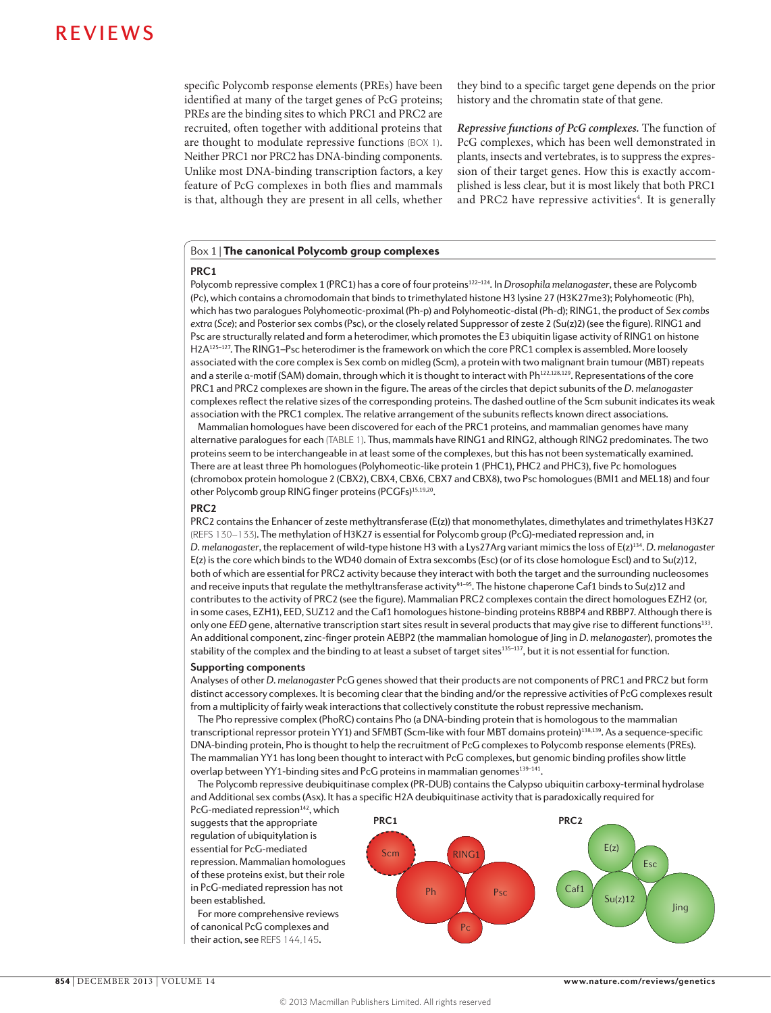specific Polycomb response elements (PREs) have been identified at many of the target genes of PcG proteins; PREs are the binding sites to which PRC1 and PRC2 are recruited, often together with additional proteins that are thought to modulate repressive functions (BOX 1). Neither PRC1 nor PRC2 has DNA-binding components. Unlike most DNA-binding transcription factors, a key feature of PcG complexes in both flies and mammals is that, although they are present in all cells, whether they bind to a specific target gene depends on the prior history and the chromatin state of that gene.

*Repressive functions of PcG complexes.* The function of PcG complexes, which has been well demonstrated in plants, insects and vertebrates, is to suppress the expression of their target genes. How this is exactly accomplished is less clear, but it is most likely that both PRC1 and PRC2 have repressive activities<sup>4</sup>. It is generally

#### Box 1 | The canonical Polycomb group complexes

#### **PRC1**

Polycomb repressive complex 1 (PRC1) has a core of four proteins122–124. In *Drosophila melanogaster*, these are Polycomb (Pc), which contains a chromodomain that binds to trimethylated histone H3 lysine 27 (H3K27me3); Polyhomeotic (Ph), which has two paralogues Polyhomeotic-proximal (Ph-p) and Polyhomeotic-distal (Ph-d); RING1, the product of *Sex combs extra* (*Sce*); and Posterior sex combs (Psc), or the closely related Suppressor of zeste 2 (Su(z)2) (see the figure). RING1 and Psc are structurally related and form a heterodimer, which promotes the E3 ubiquitin ligase activity of RING1 on histone H2A<sup>125–127</sup>. The RING1-Psc heterodimer is the framework on which the core PRC1 complex is assembled. More loosely associated with the core complex is Sex comb on midleg (Scm), a protein with two malignant brain tumour (MBT) repeats and a sterile α-motif (SAM) domain, through which it is thought to interact with Ph<sup>122,128,129</sup>. Representations of the core PRC1 and PRC2 complexes are shown in the figure. The areas of the circles that depict subunits of the *D. melanogaster* complexes reflect the relative sizes of the corresponding proteins. The dashed outline of the Scm subunit indicates its weak association with the PRC1 complex. The relative arrangement of the subunits reflects known direct associations.

Mammalian homologues have been discovered for each of the PRC1 proteins, and mammalian genomes have many alternative paralogues for each (TABLE 1). Thus, mammals have RING1 and RING2, although RING2 predominates. The two proteins seem to be interchangeable in at least some of the complexes, but this has not been systematically examined. There are at least three Ph homologues (Polyhomeotic-like protein 1 (PHC1), PHC2 and PHC3), five Pc homologues (chromobox protein homologue 2 (CBX2), CBX4, CBX6, CBX7 and CBX8), two Psc homologues (BMI1 and MEL18) and four other Polycomb group RING finger proteins (PCGFs)<sup>15,19,20</sup>.

#### **PRC2**

PRC2 contains the Enhancer of zeste methyltransferase (E(z)) that monomethylates, dimethylates and trimethylates H3K27 (REFS 130–133). The methylation of H3K27 is essential for Polycomb group (PcG)-mediated repression and, in *D. melanogaster*, the replacement of wild-type histone H3 with a Lys27Arg variant mimics the loss of E(z)134. *D. melanogaster* E(z) is the core which binds to the WD40 domain of Extra sexcombs (Esc) (or of its close homologue Escl) and to Su(z)12, both of which are essential for PRC2 activity because they interact with both the target and the surrounding nucleosomes and receive inputs that regulate the methyltransferase activity $91-95$ . The histone chaperone Caf1 binds to Su(z)12 and contributes to the activity of PRC2 (see the figure). Mammalian PRC2 complexes contain the direct homologues EZH2 (or, in some cases, EZH1), EED, SUZ12 and the Caf1 homologues histone-binding proteins RBBP4 and RBBP7. Although there is only one *EED* gene, alternative transcription start sites result in several products that may give rise to different functions<sup>133</sup>. An additional component, zinc-finger protein AEBP2 (the mammalian homologue of Jing in *D. melanogaster*), promotes the stability of the complex and the binding to at least a subset of target sites<sup>135-137</sup>, but it is not essential for function.

#### **Supporting components**

Analyses of other *D. melanogaster* PcG genes showed that their products are not components of PRC1 and PRC2 but form distinct accessory complexes. It is becoming clear that the binding and/or the repressive activities of PcG complexes result from a multiplicity of fairly weak interactions that collectively constitute the robust repressive mechanism.

The Pho repressive complex (PhoRC) contains Pho (a DNA-binding protein that is homologous to the mammalian transcriptional repressor protein YY1) and SFMBT (Scm-like with four MBT domains protein)138,139. As a sequence-specific DNA-binding protein, Pho is thought to help the recruitment of PcG complexes to Polycomb response elements (PREs). The mammalian YY1 has long been thought to interact with PcG complexes, but genomic binding profiles show little overlap between YY1-binding sites and PcG proteins in mammalian genomes<sup>139-141</sup>.

The Polycomb repressive deubiquitinase complex (PR-DUB) contains the Calypso ubiquitin carboxy-terminal hydrolase and Additional sex combs (Asx). It has a specific H2A deubiquitinase activity that is paradoxically required for

PcG-mediated repression<sup>142</sup>, which suggests that the appropriate regulation of ubiquitylation is essential for PcG-mediated repression. Mammalian homologues of these proteins exist, but their role in PcG-mediated repression has not been established.

For more comprehensive reviews of canonical PcG complexes and their action, see REFS 144,145.



**Nature Reviews** | **Genetics**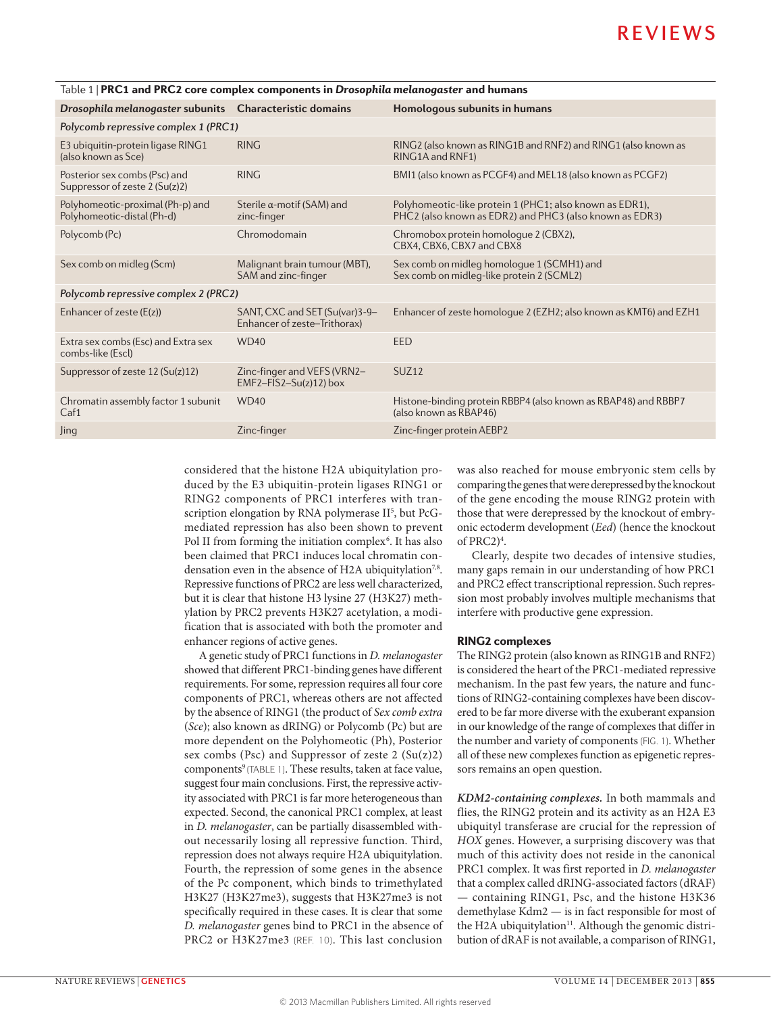| Drosophila melanogaster subunits Characteristic domains         |                                                                | Homologous subunits in humans                                                                                      |
|-----------------------------------------------------------------|----------------------------------------------------------------|--------------------------------------------------------------------------------------------------------------------|
| Polycomb repressive complex 1 (PRC1)                            |                                                                |                                                                                                                    |
| E3 ubiquitin-protein ligase RING1<br>(also known as Sce)        | <b>RING</b>                                                    | RING2 (also known as RING1B and RNF2) and RING1 (also known as<br>RING1A and RNF1)                                 |
| Posterior sex combs (Psc) and<br>Suppressor of zeste 2 (Su(z)2) | <b>RING</b>                                                    | BMI1 (also known as PCGF4) and MEL18 (also known as PCGF2)                                                         |
| Polyhomeotic-proximal (Ph-p) and<br>Polyhomeotic-distal (Ph-d)  | Sterile $\alpha$ -motif (SAM) and<br>zinc-finger               | Polyhomeotic-like protein 1 (PHC1; also known as EDR1),<br>PHC2 (also known as EDR2) and PHC3 (also known as EDR3) |
| Polycomb (Pc)                                                   | Chromodomain                                                   | Chromobox protein homologue 2 (CBX2),<br>CBX4, CBX6, CBX7 and CBX8                                                 |
| Sex comb on midleg (Scm)                                        | Malignant brain tumour (MBT),<br>SAM and zinc-finger           | Sex comb on midleg homologue 1 (SCMH1) and<br>Sex comb on midleg-like protein 2 (SCML2)                            |
| Polycomb repressive complex 2 (PRC2)                            |                                                                |                                                                                                                    |
| Enhancer of zeste $(E(z))$                                      | SANT, CXC and SET (Su(var)3-9-<br>Enhancer of zeste-Trithorax) | Enhancer of zeste homologue 2 (EZH2; also known as KMT6) and EZH1                                                  |
| Extra sex combs (Esc) and Extra sex<br>combs-like (Escl)        | WD40                                                           | <b>FFD</b>                                                                                                         |
| Suppressor of zeste 12 (Su(z)12)                                | Zinc-finger and VEFS (VRN2-<br>$EMF2-FIS2-Su(z)12)$ box        | SUZ12                                                                                                              |
| Chromatin assembly factor 1 subunit<br>Caf1                     | WD40                                                           | Histone-binding protein RBBP4 (also known as RBAP48) and RBBP7<br>(also known as RBAP46)                           |
| Jing                                                            | Zinc-finger                                                    | Zinc-finger protein AEBP2                                                                                          |

Table 1 | PRC1 and PRC2 core complex components in *Drosophila melanogaster* and humans

considered that the histone H2A ubiquitylation produced by the E3 ubiquitin-protein ligases RING1 or RING2 components of PRC1 interferes with transcription elongation by RNA polymerase II<sup>5</sup>, but PcGmediated repression has also been shown to prevent Pol II from forming the initiation complex<sup>6</sup>. It has also been claimed that PRC1 induces local chromatin condensation even in the absence of H2A ubiquitylation<sup>7,8</sup>. Repressive functions of PRC2 are less well characterized, but it is clear that histone H3 lysine 27 (H3K27) methylation by PRC2 prevents H3K27 acetylation, a modification that is associated with both the promoter and enhancer regions of active genes.

A genetic study of PRC1 functions in *D. melanogaster* showed that different PRC1-binding genes have different requirements. For some, repression requires all four core components of PRC1, whereas others are not affected by the absence of RING1 (the product of *Sex comb extra* (*Sce*); also known as dRING) or Polycomb (Pc) but are more dependent on the Polyhomeotic (Ph), Posterior sex combs (Psc) and Suppressor of zeste  $2 \left( \text{Su}(z) \right)$ components<sup>9</sup> (TABLE 1). These results, taken at face value, suggest four main conclusions. First, the repressive activity associated with PRC1 is far more heterogeneous than expected. Second, the canonical PRC1 complex, at least in *D. melanogaster*, can be partially disassembled without necessarily losing all repressive function. Third, repression does not always require H2A ubiquitylation. Fourth, the repression of some genes in the absence of the Pc component, which binds to trimethylated H3K27 (H3K27me3), suggests that H3K27me3 is not specifically required in these cases. It is clear that some *D. melanogaster* genes bind to PRC1 in the absence of PRC2 or H3K27me3 (REF. 10). This last conclusion

was also reached for mouse embryonic stem cells by comparing the genes that were derepressed by the knockout of the gene encoding the mouse RING2 protein with those that were derepressed by the knockout of embryonic ectoderm development (*Eed*) (hence the knockout of  $PRC2$ <sup>4</sup>.

Clearly, despite two decades of intensive studies, many gaps remain in our understanding of how PRC1 and PRC2 effect transcriptional repression. Such repression most probably involves multiple mechanisms that interfere with productive gene expression.

#### RING2 complexes

The RING2 protein (also known as RING1B and RNF2) is considered the heart of the PRC1-mediated repressive mechanism. In the past few years, the nature and functions of RING2-containing complexes have been discovered to be far more diverse with the exuberant expansion in our knowledge of the range of complexes that differ in the number and variety of components (FIG. 1). Whether all of these new complexes function as epigenetic repressors remains an open question.

*KDM2‑containing complexes.* In both mammals and flies, the RING2 protein and its activity as an H2A E3 ubiquityl transferase are crucial for the repression of *HOX* genes. However, a surprising discovery was that much of this activity does not reside in the canonical PRC1 complex. It was first reported in *D. melanogaster* that a complex called dRING-associated factors (dRAF) — containing RING1, Psc, and the histone H3K36 demethylase Kdm2 — is in fact responsible for most of the H2A ubiquitylation<sup>11</sup>. Although the genomic distribution of dRAF is not available, a comparison of RING1,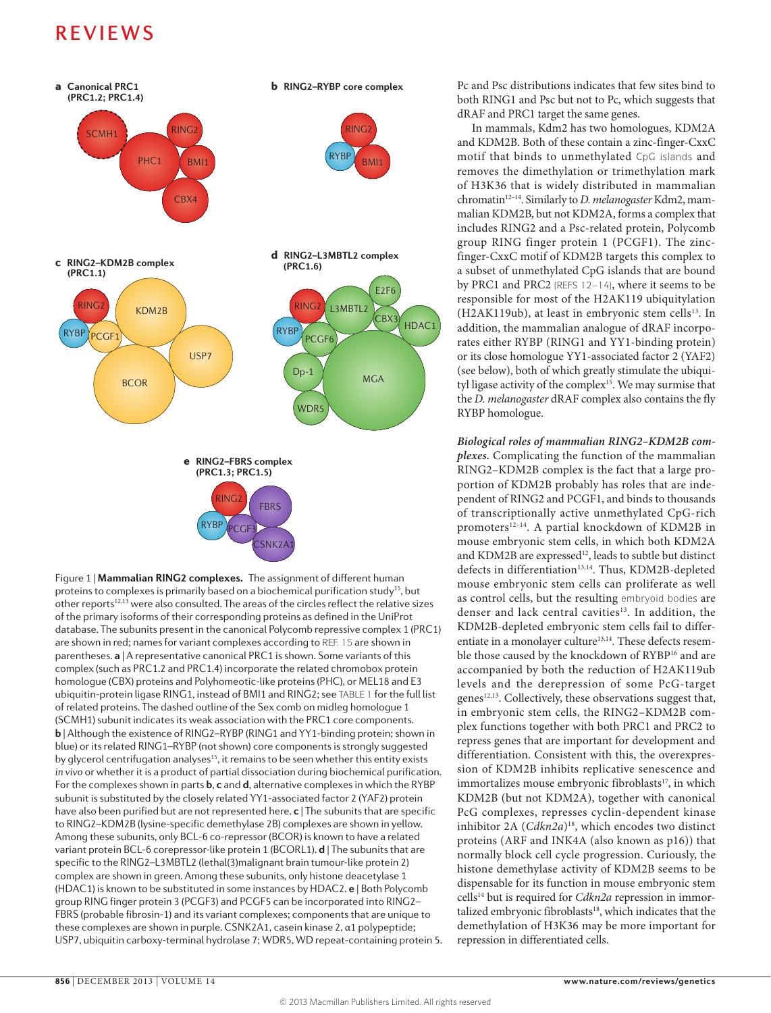

**F**igure 1 | **Mammalian RING2 complexes.** The assignment of different human proteins to complexes is primarily based on a biochemical purification study<sup>15</sup>, but other reports<sup>12,13</sup> were also consulted. The areas of the circles reflect the relative sizes of the primary isoforms of their corresponding proteins as defined in the UniProt database. The subunits present in the canonical Polycomb repressive complex 1 (PRC1) are shown in red; names for variant complexes according to REF. 15 are shown in parentheses. **a** | A representative canonical PRC1 is shown. Some variants of this complex (such as PRC1.2 and PRC1.4) incorporate the related chromobox protein homologue (CBX) proteins and Polyhomeotic-like proteins (PHC), or MEL18 and E3 ubiquitin-protein ligase RING1, instead of BMI1 and RING2; see TABLE 1 for the full list of related proteins. The dashed outline of the Sex comb on midleg homologue 1 (SCMH1) subunit indicates its weak association with the PRC1 core components. **b** | Although the existence of RING2–RYBP (RING1 and YY1-binding protein; shown in blue) or its related RING1–RYBP (not shown) core components is strongly suggested by glycerol centrifugation analyses<sup>15</sup>, it remains to be seen whether this entity exists *in vivo* or whether it is a product of partial dissociation during biochemical purification. For the complexes shown in parts **b**, **c** and **d**, alternative complexes in which the RYBP subunit is substituted by the closely related YY1-associated factor 2 (YAF2) protein have also been purified but are not represented here. **c** | The subunits that are specific to RING2–KDM2B (lysine-specific demethylase 2B) complexes are shown in yellow. Among these subunits, only BCL‑6 co-repressor (BCOR) is known to have a related variant protein BCL‑6 corepressor-like protein 1 (BCORL1). **d** | The subunits that are specific to the RING2–L3MBTL2 (lethal(3)malignant brain tumour-like protein 2) complex are shown in green. Among these subunits, only histone deacetylase 1 (HDAC1) is known to be substituted in some instances by HDAC2. **e** | Both Polycomb group RING finger protein 3 (PCGF3) and PCGF5 can be incorporated into RING2– FBRS (probable fibrosin‑1) and its variant complexes; components that are unique to these complexes are shown in purple. CSNK2A1, casein kinase 2, α1 polypeptide; USP7, ubiquitin carboxy-terminal hydrolase 7; WDR5, WD repeat-containing protein 5.

b **RING2–RYBP core complex** Pc and Psc distributions indicates that few sites bind to both RING1 and Psc but not to Pc, which suggests that dRAF and PRC1 target the same genes.

In mammals, Kdm2 has two homologues, KDM2A and KDM2B. Both of these contain a zinc-finger-CxxC motif that binds to unmethylated CpG islands and removes the dimethylation or trimethylation mark of H3K36 that is widely distributed in mammalian chromatin12–14. Similarly to *D. melanogaster* Kdm2, mammalian KDM2B, but not KDM2A, forms a complex that includes RING2 and a Psc-related protein, Polycomb group RING finger protein 1 (PCGF1). The zincfinger-CxxC motif of KDM2B targets this complex to a subset of unmethylated CpG islands that are bound by PRC1 and PRC2 (REFS 12–14), where it seems to be responsible for most of the H2AK119 ubiquitylation  $(H2AK119ub)$ , at least in embryonic stem cells<sup>13</sup>. In addition, the mammalian analogue of dRAF incorporates either RYBP (RING1 and YY1-binding protein) or its close homologue YY1-associated factor 2 (YAF2) (see below), both of which greatly stimulate the ubiquityl ligase activity of the complex<sup>15</sup>. We may surmise that the *D. melanogaster* dRAF complex also contains the fly RYBP homologue.

*Biological roles of mammalian RING2–KDM2B com‑ plexes.* Complicating the function of the mammalian RING2–KDM2B complex is the fact that a large proportion of KDM2B probably has roles that are independent of RING2 and PCGF1, and binds to thousands of transcriptionally active unmethylated CpG-rich promoters<sup>12-14</sup>. A partial knockdown of KDM2B in mouse embryonic stem cells, in which both KDM2A and KDM2B are expressed<sup>12</sup>, leads to subtle but distinct defects in differentiation<sup>13,14</sup>. Thus, KDM2B-depleted mouse embryonic stem cells can proliferate as well as control cells, but the resulting embryoid bodies are denser and lack central cavities<sup>13</sup>. In addition, the KDM2B-depleted embryonic stem cells fail to differentiate in a monolayer culture<sup>13,14</sup>. These defects resemble those caused by the knockdown of RYBP<sup>16</sup> and are accompanied by both the reduction of H2AK119ub levels and the derepression of some PcG-target genes<sup>12,13</sup>. Collectively, these observations suggest that, in embryonic stem cells, the RING2–KDM2B complex functions together with both PRC1 and PRC2 to repress genes that are important for development and differentiation. Consistent with this, the overexpression of KDM2B inhibits replicative senescence and immortalizes mouse embryonic fibroblasts<sup>17</sup>, in which KDM2B (but not KDM2A), together with canonical PcG complexes, represses cyclin-dependent kinase inhibitor 2A (*Cdkn2a*)18, which encodes two distinct proteins (ARF and INK4A (also known as p16)) that normally block cell cycle progression. Curiously, the histone demethylase activity of KDM2B seems to be dispensable for its function in mouse embryonic stem cells14 but is required for *Cdkn2a* repression in immortalized embryonic fibroblasts<sup>18</sup>, which indicates that the demethylation of H3K36 may be more important for repression in differentiated cells.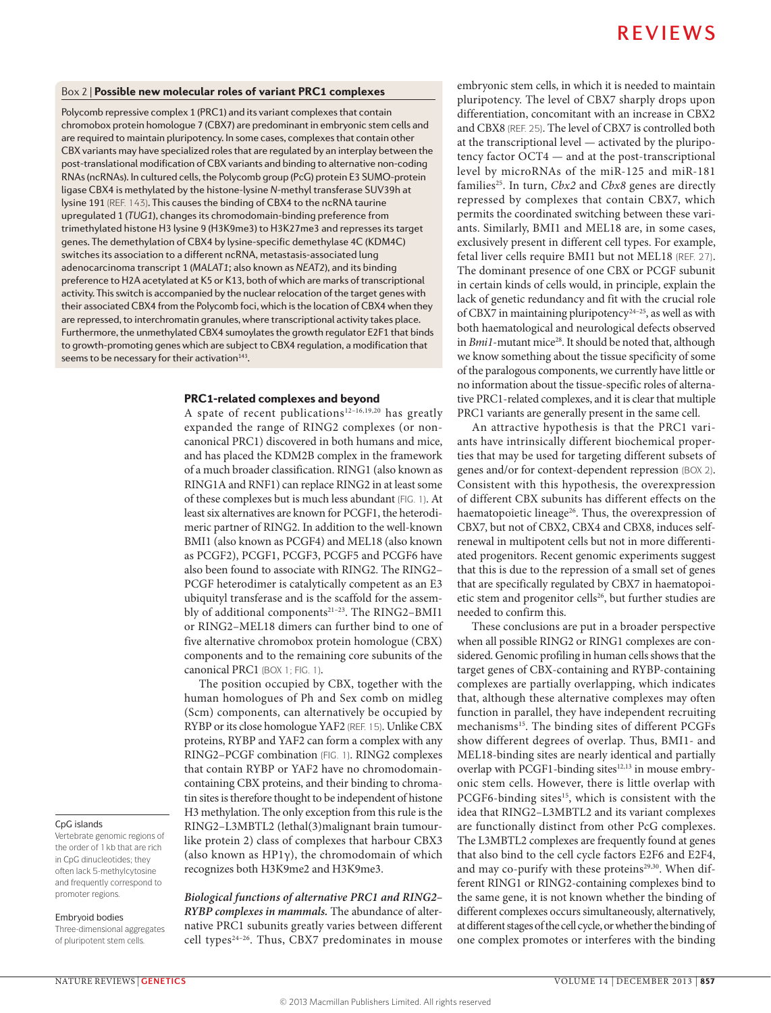#### Box 2 | Possible new molecular roles of variant PRC1 complexes

Polycomb repressive complex 1 (PRC1) and its variant complexes that contain chromobox protein homologue 7 (CBX7) are predominant in embryonic stem cells and are required to maintain pluripotency. In some cases, complexes that contain other CBX variants may have specialized roles that are regulated by an interplay between the post-translational modification of CBX variants and binding to alternative non-coding RNAs (ncRNAs). In cultured cells, the Polycomb group (PcG) protein E3 SUMO-protein ligase CBX4 is methylated by the histone-lysine *N*-methyl transferase SUV39h at lysine 191 (REF. 143). This causes the binding of CBX4 to the ncRNA taurine upregulated 1 (*TUG1*), changes its chromodomain-binding preference from trimethylated histone H3 lysine 9 (H3K9me3) to H3K27me3 and represses its target genes. The demethylation of CBX4 by lysine-specific demethylase 4C (KDM4C) switches its association to a different ncRNA, metastasis-associated lung adenocarcinoma transcript 1 (*MALAT1*; also known as *NEAT2*), and its binding preference to H2A acetylated at K5 or K13, both of which are marks of transcriptional activity. This switch is accompanied by the nuclear relocation of the target genes with their associated CBX4 from the Polycomb foci, which is the location of CBX4 when they are repressed, to interchromatin granules, where transcriptional activity takes place. Furthermore, the unmethylated CBX4 sumoylates the growth regulator E2F1 that binds to growth-promoting genes which are subject to CBX4 regulation, a modification that seems to be necessary for their activation<sup>143</sup>.

#### PRC1‑related complexes and beyond

A spate of recent publications<sup>12-16,19,20</sup> has greatly expanded the range of RING2 complexes (or noncanonical PRC1) discovered in both humans and mice, and has placed the KDM2B complex in the framework of a much broader classification. RING1 (also known as RING1A and RNF1) can replace RING2 in at least some of these complexes but is much less abundant (FIG. 1). At least six alternatives are known for PCGF1, the heterodimeric partner of RING2. In addition to the well-known BMI1 (also known as PCGF4) and MEL18 (also known as PCGF2), PCGF1, PCGF3, PCGF5 and PCGF6 have also been found to associate with RING2. The RING2– PCGF heterodimer is catalytically competent as an E3 ubiquityl transferase and is the scaffold for the assembly of additional components<sup>21-23</sup>. The RING2-BMI1 or RING2–MEL18 dimers can further bind to one of five alternative chromobox protein homologue (CBX) components and to the remaining core subunits of the canonical PRC1 (BOX 1; FIG. 1).

The position occupied by CBX, together with the human homologues of Ph and Sex comb on midleg (Scm) components, can alternatively be occupied by RYBP or its close homologue YAF2 (REF. 15). Unlike CBX proteins, RYBP and YAF2 can form a complex with any RING2–PCGF combination (FIG. 1). RING2 complexes that contain RYBP or YAF2 have no chromodomaincontaining CBX proteins, and their binding to chromatin sites is therefore thought to be independent of histone H3 methylation. The only exception from this rule is the RING2–L3MBTL2 (lethal(3)malignant brain tumourlike protein 2) class of complexes that harbour CBX3 (also known as  $HP1\gamma$ ), the chromodomain of which recognizes both H3K9me2 and H3K9me3.

### *Biological functions of alternative PRC1 and RING2– RYBP complexes in mammals.* The abundance of alternative PRC1 subunits greatly varies between different cell types<sup>24-26</sup>. Thus, CBX7 predominates in mouse

embryonic stem cells, in which it is needed to maintain pluripotency. The level of CBX7 sharply drops upon differentiation, concomitant with an increase in CBX2 and CBX8 (REF. 25). The level of CBX7 is controlled both at the transcriptional level — activated by the pluripotency factor OCT4 — and at the post-transcriptional level by microRNAs of the miR-125 and miR-181 families25. In turn, *Cbx2* and *Cbx8* genes are directly repressed by complexes that contain CBX7, which permits the coordinated switching between these variants. Similarly, BMI1 and MEL18 are, in some cases, exclusively present in different cell types. For example, fetal liver cells require BMI1 but not MEL18 (REF. 27). The dominant presence of one CBX or PCGF subunit in certain kinds of cells would, in principle, explain the lack of genetic redundancy and fit with the crucial role of CBX7 in maintaining pluripotency<sup>24-25</sup>, as well as with both haematological and neurological defects observed in *Bmi1*-mutant mice<sup>28</sup>. It should be noted that, although we know something about the tissue specificity of some of the paralogous components, we currently have little or no information about the tissue-specific roles of alternative PRC1-related complexes, and it is clear that multiple PRC1 variants are generally present in the same cell.

An attractive hypothesis is that the PRC1 variants have intrinsically different biochemical properties that may be used for targeting different subsets of genes and/or for context-dependent repression (BOX 2). Consistent with this hypothesis, the overexpression of different CBX subunits has different effects on the haematopoietic lineage<sup>26</sup>. Thus, the overexpression of CBX7, but not of CBX2, CBX4 and CBX8, induces selfrenewal in multipotent cells but not in more differentiated progenitors. Recent genomic experiments suggest that this is due to the repression of a small set of genes that are specifically regulated by CBX7 in haematopoietic stem and progenitor cells<sup>26</sup>, but further studies are needed to confirm this.

These conclusions are put in a broader perspective when all possible RING2 or RING1 complexes are considered. Genomic profiling in human cells shows that the target genes of CBX-containing and RYBP-containing complexes are partially overlapping, which indicates that, although these alternative complexes may often function in parallel, they have independent recruiting mechanisms<sup>15</sup>. The binding sites of different PCGFs show different degrees of overlap. Thus, BMI1- and MEL18-binding sites are nearly identical and partially overlap with PCGF1-binding sites $12,13$  in mouse embryonic stem cells. However, there is little overlap with PCGF6-binding sites<sup>15</sup>, which is consistent with the idea that RING2–L3MBTL2 and its variant complexes are functionally distinct from other PcG complexes. The L3MBTL2 complexes are frequently found at genes that also bind to the cell cycle factors E2F6 and E2F4, and may co-purify with these proteins<sup>29,30</sup>. When different RING1 or RING2-containing complexes bind to the same gene, it is not known whether the binding of different complexes occurs simultaneously, alternatively, at different stages of the cell cycle, or whether the binding of one complex promotes or interferes with the binding

#### CpG islands

Vertebrate genomic regions of the order of 1kb that are rich in CpG dinucleotides; they often lack 5‑methylcytosine and frequently correspond to promoter regions.

#### Embryoid bodies

Three-dimensional aggregates of pluripotent stem cells.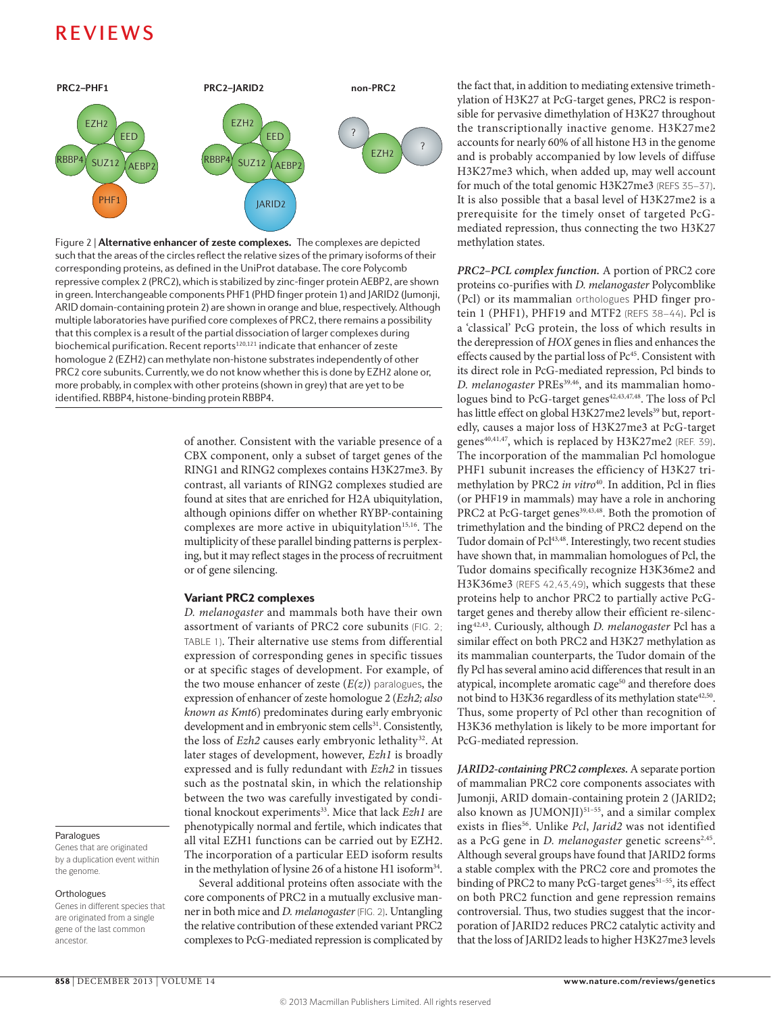

**Nature Reviews** | **Genetics** such that the areas of the circles reflect the relative sizes of the primary isoforms of their Figure 2 | **Alternative enhancer of zeste complexes.** The complexes are depicted corresponding proteins, as defined in the UniProt database. The core Polycomb repressive complex 2 (PRC2), which is stabilized by zinc-finger protein AEBP2, are shown in green. Interchangeable components PHF1 (PHD finger protein 1) and JARID2 (Jumonji, ARID domain-containing protein 2) are shown in orange and blue, respectively. Although multiple laboratories have purified core complexes of PRC2, there remains a possibility that this complex is a result of the partial dissociation of larger complexes during biochemical purification. Recent reports<sup>120,121</sup> indicate that enhancer of zeste homologue 2 (EZH2) can methylate non-histone substrates independently of other PRC2 core subunits. Currently, we do not know whether this is done by EZH2 alone or, more probably, in complex with other proteins (shown in grey) that are yet to be identified. RBBP4, histone-binding protein RBBP4.

of another. Consistent with the variable presence of a CBX component, only a subset of target genes of the RING1 and RING2 complexes contains H3K27me3. By contrast, all variants of RING2 complexes studied are found at sites that are enriched for H2A ubiquitylation, although opinions differ on whether RYBP-containing complexes are more active in ubiquitylation<sup>15,16</sup>. The multiplicity of these parallel binding patterns is perplexing, but it may reflect stages in the process of recruitment or of gene silencing.

#### Variant PRC2 complexes

*D. melanogaster* and mammals both have their own assortment of variants of PRC2 core subunits (FIG. 2; TABLE 1). Their alternative use stems from differential expression of corresponding genes in specific tissues or at specific stages of development. For example, of the two mouse enhancer of zeste  $(E(z))$  paralogues, the expression of enhancer of zeste homologue 2 (*Ezh2; also known as Kmt6*) predominates during early embryonic development and in embryonic stem cells<sup>31</sup>. Consistently, the loss of *Ezh2* causes early embryonic lethality<sup>32</sup>. At later stages of development, however, *Ezh1* is broadly expressed and is fully redundant with *Ezh2* in tissues such as the postnatal skin, in which the relationship between the two was carefully investigated by conditional knockout experiments<sup>33</sup>. Mice that lack *Ezh1* are phenotypically normal and fertile, which indicates that all vital EZH1 functions can be carried out by EZH2. The incorporation of a particular EED isoform results in the methylation of lysine 26 of a histone H1 isoform<sup>34</sup>.

Several additional proteins often associate with the core components of PRC2 in a mutually exclusive manner in both mice and *D. melanogaster* (FIG. 2). Untangling the relative contribution of these extended variant PRC2 complexes to PcG-mediated repression is complicated by the fact that, in addition to mediating extensive trimethylation of H3K27 at PcG-target genes, PRC2 is responsible for pervasive dimethylation of H3K27 throughout the transcriptionally inactive genome. H3K27me2 accounts for nearly 60% of all histone H3 in the genome and is probably accompanied by low levels of diffuse H3K27me3 which, when added up, may well account for much of the total genomic H3K27me3 (REFS 35–37). It is also possible that a basal level of H3K27me2 is a prerequisite for the timely onset of targeted PcGmediated repression, thus connecting the two H3K27 methylation states.

*PRC2–PCL complex function.* A portion of PRC2 core proteins co-purifies with *D. melanogaster* Polycomblike (Pcl) or its mammalian orthologues PHD finger protein 1 (PHF1), PHF19 and MTF2 (REFS 38–44). Pcl is a 'classical' PcG protein, the loss of which results in the derepression of *HOX* genes in flies and enhances the effects caused by the partial loss of Pc<sup>45</sup>. Consistent with its direct role in PcG-mediated repression, Pcl binds to *D. melanogaster* PREs<sup>39,46</sup>, and its mammalian homologues bind to PcG-target genes<sup>42,43,47,48</sup>. The loss of Pcl has little effect on global H3K27me2 levels<sup>39</sup> but, reportedly, causes a major loss of H3K27me3 at PcG-target genes<sup>40,41,47</sup>, which is replaced by H3K27me2 (REF. 39). The incorporation of the mammalian Pcl homologue PHF1 subunit increases the efficiency of H3K27 trimethylation by PRC2 *in vitro*40. In addition, Pcl in flies (or PHF19 in mammals) may have a role in anchoring PRC2 at PcG-target genes<sup>39,43,48</sup>. Both the promotion of trimethylation and the binding of PRC2 depend on the Tudor domain of Pcl<sup>43,48</sup>. Interestingly, two recent studies have shown that, in mammalian homologues of Pcl, the Tudor domains specifically recognize H3K36me2 and H3K36me3 (REFS 42,43,49), which suggests that these proteins help to anchor PRC2 to partially active PcGtarget genes and thereby allow their efficient re-silencing42,43. Curiously, although *D. melanogaster* Pcl has a similar effect on both PRC2 and H3K27 methylation as its mammalian counterparts, the Tudor domain of the fly Pcl has several amino acid differences that result in an atypical, incomplete aromatic cage<sup>50</sup> and therefore does not bind to H3K36 regardless of its methylation state<sup>42,50</sup>. Thus, some property of Pcl other than recognition of H3K36 methylation is likely to be more important for PcG-mediated repression.

*JARID2‑containing PRC2 complexes.* A separate portion of mammalian PRC2 core components associates with Jumonji, ARID domain-containing protein 2 (JARID2; also known as JUMONJI)<sup>51-55</sup>, and a similar complex exists in flies<sup>56</sup>. Unlike *Pcl*, *Jarid2* was not identified as a PcG gene in *D. melanogaster* genetic screens<sup>2,45</sup>. Although several groups have found that JARID2 forms a stable complex with the PRC2 core and promotes the binding of PRC2 to many PcG-target genes<sup>51-55</sup>, its effect on both PRC2 function and gene repression remains controversial. Thus, two studies suggest that the incorporation of JARID2 reduces PRC2 catalytic activity and that the loss of JARID2 leads to higher H3K27me3 levels

#### Paralogues

Genes that are originated by a duplication event within the genome.

#### Orthologues

Genes in different species that are originated from a single gene of the last common ancestor.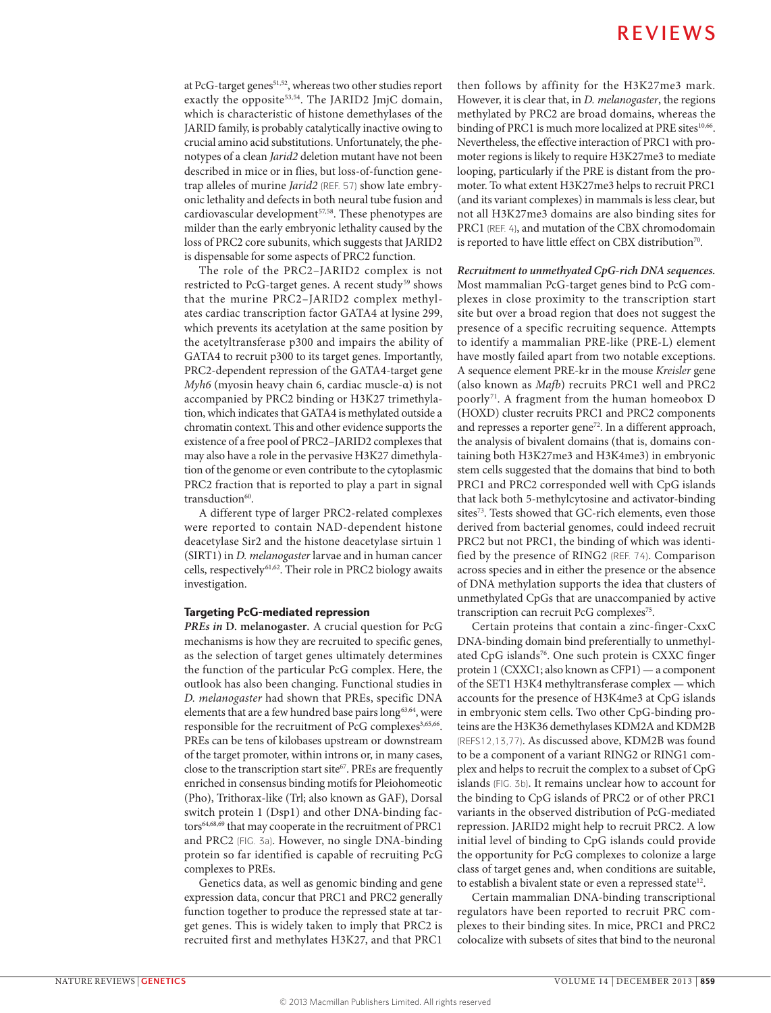at PcG-target genes<sup>51,52</sup>, whereas two other studies report exactly the opposite<sup>53,54</sup>. The JARID2 JmjC domain, which is characteristic of histone demethylases of the JARID family, is probably catalytically inactive owing to crucial amino acid substitutions. Unfortunately, the phenotypes of a clean *Jarid2* deletion mutant have not been described in mice or in flies, but loss-of-function genetrap alleles of murine *Jarid2* (REF. 57) show late embryonic lethality and defects in both neural tube fusion and cardiovascular development<sup>57,58</sup>. These phenotypes are milder than the early embryonic lethality caused by the loss of PRC2 core subunits, which suggests that JARID2 is dispensable for some aspects of PRC2 function.

The role of the PRC2–JARID2 complex is not restricted to PcG-target genes. A recent study<sup>59</sup> shows that the murine PRC2–JARID2 complex methylates cardiac transcription factor GATA4 at lysine 299, which prevents its acetylation at the same position by the acetyltransferase p300 and impairs the ability of GATA4 to recruit p300 to its target genes. Importantly, PRC2-dependent repression of the GATA4-target gene *Myh6* (myosin heavy chain 6, cardiac muscle-α) is not accompanied by PRC2 binding or H3K27 trimethylation, which indicates that GATA4 is methylated outside a chromatin context. This and other evidence supports the existence of a free pool of PRC2–JARID2 complexes that may also have a role in the pervasive H3K27 dimethylation of the genome or even contribute to the cytoplasmic PRC2 fraction that is reported to play a part in signal transduction<sup>60</sup>.

A different type of larger PRC2-related complexes were reported to contain NAD-dependent histone deacetylase Sir2 and the histone deacetylase sirtuin 1 (SIRT1) in *D. melanogaster* larvae and in human cancer cells, respectively<sup>61,62</sup>. Their role in PRC2 biology awaits investigation.

#### Targeting PcG-mediated repression

*PREs in* **D. melanogaster***.* A crucial question for PcG mechanisms is how they are recruited to specific genes, as the selection of target genes ultimately determines the function of the particular PcG complex. Here, the outlook has also been changing. Functional studies in *D. melanogaster* had shown that PREs, specific DNA elements that are a few hundred base pairs long<sup>63,64</sup>, were responsible for the recruitment of PcG complexes<sup>3,65,66</sup>. PREs can be tens of kilobases upstream or downstream of the target promoter, within introns or, in many cases, close to the transcription start site<sup>67</sup>. PREs are frequently enriched in consensus binding motifs for Pleiohomeotic (Pho), Trithorax-like (Trl; also known as GAF), Dorsal switch protein 1 (Dsp1) and other DNA-binding factors64,68,69 that may cooperate in the recruitment of PRC1 and PRC2 (FIG. 3a). However, no single DNA-binding protein so far identified is capable of recruiting PcG complexes to PREs.

Genetics data, as well as genomic binding and gene expression data, concur that PRC1 and PRC2 generally function together to produce the repressed state at target genes. This is widely taken to imply that PRC2 is recruited first and methylates H3K27, and that PRC1

then follows by affinity for the H3K27me3 mark. However, it is clear that, in *D. melanogaster*, the regions methylated by PRC2 are broad domains, whereas the binding of PRC1 is much more localized at PRE sites<sup>10,66</sup>. Nevertheless, the effective interaction of PRC1 with promoter regions is likely to require H3K27me3 to mediate looping, particularly if the PRE is distant from the promoter. To what extent H3K27me3 helps to recruit PRC1 (and its variant complexes) in mammals is less clear, but not all H3K27me3 domains are also binding sites for PRC1 (REF. 4), and mutation of the CBX chromodomain is reported to have little effect on CBX distribution<sup>70</sup>.

*Recruitment to unmethyated CpG-rich DNA sequences.* Most mammalian PcG-target genes bind to PcG complexes in close proximity to the transcription start site but over a broad region that does not suggest the presence of a specific recruiting sequence. Attempts to identify a mammalian PRE-like (PRE-L) element have mostly failed apart from two notable exceptions. A sequence element PRE-kr in the mouse *Kreisler* gene (also known as *Mafb*) recruits PRC1 well and PRC2 poorly<sup>71</sup>. A fragment from the human homeobox D (HOXD) cluster recruits PRC1 and PRC2 components and represses a reporter gene<sup>72</sup>. In a different approach, the analysis of bivalent domains (that is, domains containing both H3K27me3 and H3K4me3) in embryonic stem cells suggested that the domains that bind to both PRC1 and PRC2 corresponded well with CpG islands that lack both 5-methylcytosine and activator-binding sites<sup>73</sup>. Tests showed that GC-rich elements, even those derived from bacterial genomes, could indeed recruit PRC2 but not PRC1, the binding of which was identified by the presence of RING2 (REF. 74). Comparison across species and in either the presence or the absence of DNA methylation supports the idea that clusters of unmethylated CpGs that are unaccompanied by active transcription can recruit PcG complexes<sup>75</sup>.

Certain proteins that contain a zinc-finger-CxxC DNA-binding domain bind preferentially to unmethylated CpG islands<sup>76</sup>. One such protein is CXXC finger protein 1 (CXXC1; also known as CFP1) — a component of the SET1 H3K4 methyltransferase complex — which accounts for the presence of H3K4me3 at CpG islands in embryonic stem cells. Two other CpG-binding proteins are the H3K36 demethylases KDM2A and KDM2B (REFS12,13,77). As discussed above, KDM2B was found to be a component of a variant RING2 or RING1 complex and helps to recruit the complex to a subset of CpG islands (FIG. 3b). It remains unclear how to account for the binding to CpG islands of PRC2 or of other PRC1 variants in the observed distribution of PcG-mediated repression. JARID2 might help to recruit PRC2. A low initial level of binding to CpG islands could provide the opportunity for PcG complexes to colonize a large class of target genes and, when conditions are suitable, to establish a bivalent state or even a repressed state<sup>12</sup>.

Certain mammalian DNA-binding transcriptional regulators have been reported to recruit PRC complexes to their binding sites. In mice, PRC1 and PRC2 colocalize with subsets of sites that bind to the neuronal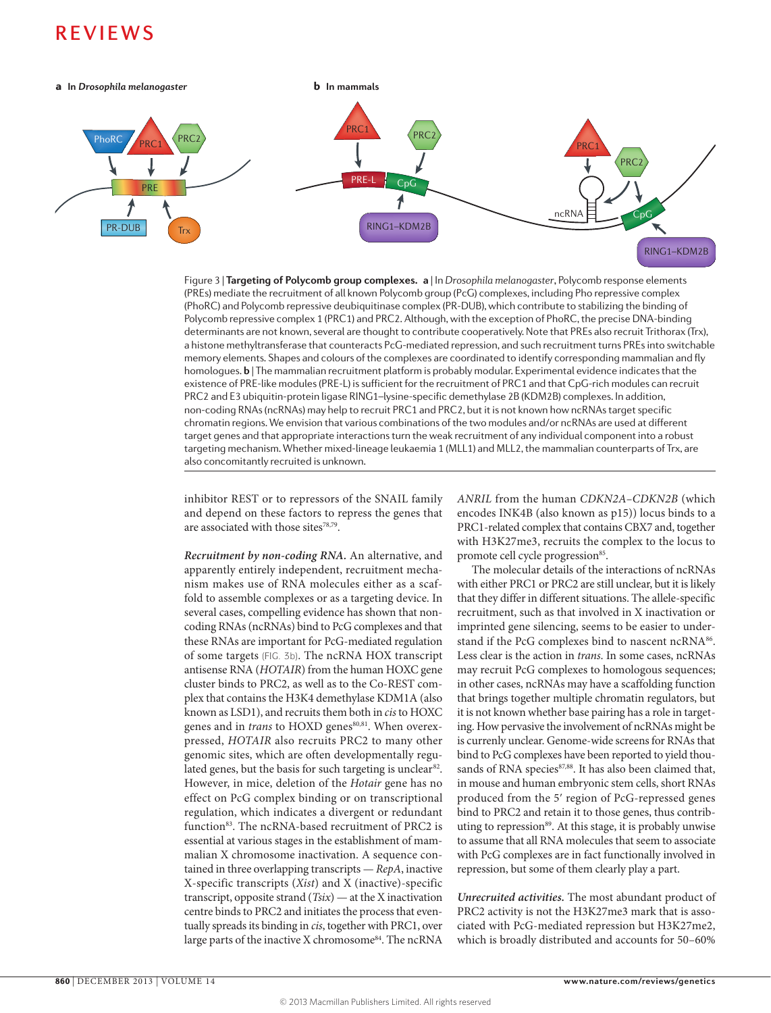

**Nature Reviews** | **Genetics** (PhoRC) and Polycomb repressive deubiquitinase complex (PR‑DUB), which contribute to stabilizing the binding of Figure 3 | **Targeting of Polycomb group complexes. a** | In *Drosophila melanogaster*, Polycomb response elements (PREs) mediate the recruitment of all known Polycomb group (PcG) complexes, including Pho repressive complex Polycomb repressive complex 1 (PRC1) and PRC2. Although, with the exception of PhoRC, the precise DNA-binding determinants are not known, several are thought to contribute cooperatively. Note that PREs also recruit Trithorax (Trx), a histone methyltransferase that counteracts PcG-mediated repression, and such recruitment turns PREs into switchable memory elements. Shapes and colours of the complexes are coordinated to identify corresponding mammalian and fly homologues. **b** | The mammalian recruitment platform is probably modular. Experimental evidence indicates that the existence of PRE-like modules (PRE-L) is sufficient for the recruitment of PRC1 and that CpG-rich modules can recruit PRC2 and E3 ubiquitin-protein ligase RING1–lysine-specific demethylase 2B (KDM2B) complexes. In addition, non-coding RNAs (ncRNAs) may help to recruit PRC1 and PRC2, but it is not known how ncRNAs target specific chromatin regions. We envision that various combinations of the two modules and/or ncRNAs are used at different target genes and that appropriate interactions turn the weak recruitment of any individual component into a robust targeting mechanism. Whether mixed-lineage leukaemia 1 (MLL1) and MLL2, the mammalian counterparts of Trx, are also concomitantly recruited is unknown.

inhibitor REST or to repressors of the SNAIL family and depend on these factors to repress the genes that are associated with those sites<sup>78,79</sup>.

*Recruitment by non-coding RNA.* An alternative, and apparently entirely independent, recruitment mechanism makes use of RNA molecules either as a scaffold to assemble complexes or as a targeting device. In several cases, compelling evidence has shown that noncoding RNAs (ncRNAs) bind to PcG complexes and that these RNAs are important for PcG-mediated regulation of some targets (FIG. 3b). The ncRNA HOX transcript antisense RNA (*HOTAIR*) from the human HOXC gene cluster binds to PRC2, as well as to the Co-REST complex that contains the H3K4 demethylase KDM1A (also known as LSD1), and recruits them both in *cis* to HOXC genes and in *trans* to HOXD genes<sup>80,81</sup>. When overexpressed, *HOTAIR* also recruits PRC2 to many other genomic sites, which are often developmentally regulated genes, but the basis for such targeting is unclear<sup>82</sup>. However, in mice, deletion of the *Hotair* gene has no effect on PcG complex binding or on transcriptional regulation, which indicates a divergent or redundant function<sup>83</sup>. The ncRNA-based recruitment of PRC2 is essential at various stages in the establishment of mammalian X chromosome inactivation. A sequence contained in three overlapping transcripts — *RepA*, inactive X-specific transcripts (*Xist*) and X (inactive)-specific transcript, opposite strand (*Tsix*) — at the X inactivation centre binds to PRC2 and initiates the process that eventually spreads its binding in *cis*, together with PRC1, over large parts of the inactive X chromosome<sup>84</sup>. The ncRNA *ANRIL* from the human *CDKN2A–CDKN2B* (which encodes INK4B (also known as p15)) locus binds to a PRC1-related complex that contains CBX7 and, together with H3K27me3, recruits the complex to the locus to promote cell cycle progression<sup>85</sup>.

The molecular details of the interactions of ncRNAs with either PRC1 or PRC2 are still unclear, but it is likely that they differ in different situations. The allele-specific recruitment, such as that involved in X inactivation or imprinted gene silencing, seems to be easier to understand if the PcG complexes bind to nascent ncRNA<sup>86</sup>. Less clear is the action in *trans*. In some cases, ncRNAs may recruit PcG complexes to homologous sequences; in other cases, ncRNAs may have a scaffolding function that brings together multiple chromatin regulators, but it is not known whether base pairing has a role in targeting. How pervasive the involvement of ncRNAs might be is currenly unclear. Genome-wide screens for RNAs that bind to PcG complexes have been reported to yield thousands of RNA species<sup>87,88</sup>. It has also been claimed that, in mouse and human embryonic stem cells, short RNAs produced from the 5ʹ region of PcG-repressed genes bind to PRC2 and retain it to those genes, thus contributing to repression<sup>89</sup>. At this stage, it is probably unwise to assume that all RNA molecules that seem to associate with PcG complexes are in fact functionally involved in repression, but some of them clearly play a part.

*Unrecruited activities.* The most abundant product of PRC2 activity is not the H3K27me3 mark that is associated with PcG-mediated repression but H3K27me2, which is broadly distributed and accounts for 50–60%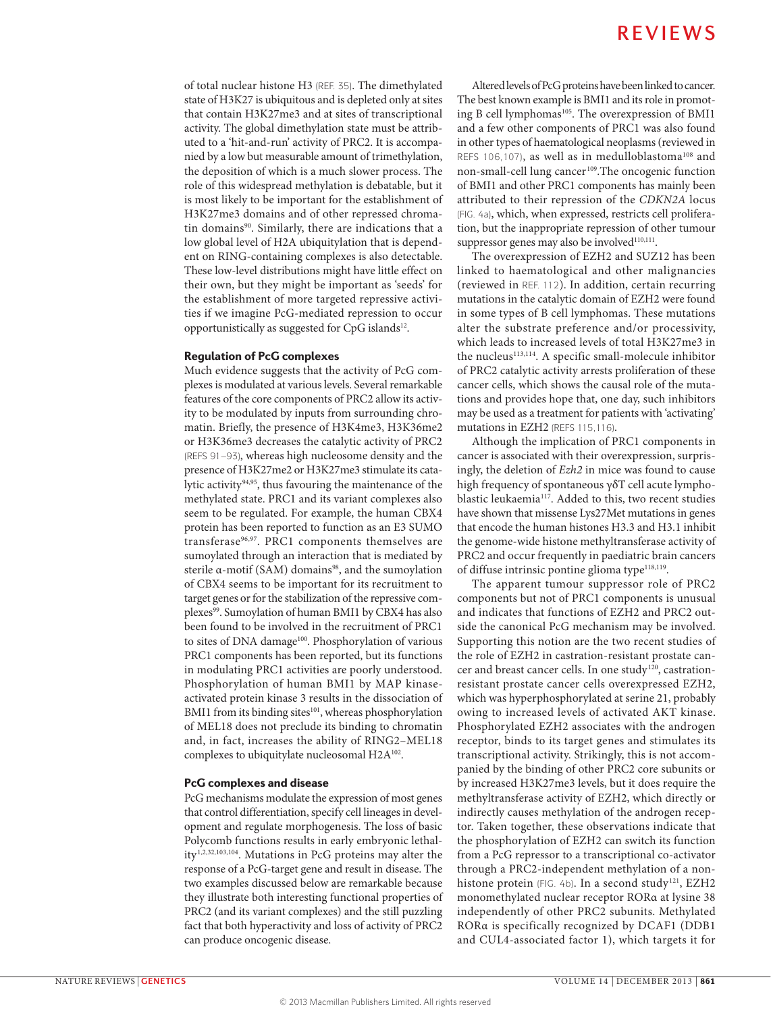of total nuclear histone H3 (REF. 35). The dimethylated state of H3K27 is ubiquitous and is depleted only at sites that contain H3K27me3 and at sites of transcriptional activity. The global dimethylation state must be attributed to a 'hit-and-run' activity of PRC2. It is accompanied by a low but measurable amount of trimethylation, the deposition of which is a much slower process. The role of this widespread methylation is debatable, but it is most likely to be important for the establishment of H3K27me3 domains and of other repressed chromatin domains<sup>90</sup>. Similarly, there are indications that a low global level of H2A ubiquitylation that is dependent on RING-containing complexes is also detectable. These low-level distributions might have little effect on their own, but they might be important as 'seeds' for the establishment of more targeted repressive activities if we imagine PcG-mediated repression to occur opportunistically as suggested for CpG islands<sup>12</sup>.

### Regulation of PcG complexes

Much evidence suggests that the activity of PcG complexes is modulated at various levels. Several remarkable features of the core components of PRC2 allow its activity to be modulated by inputs from surrounding chromatin. Briefly, the presence of H3K4me3, H3K36me2 or H3K36me3 decreases the catalytic activity of PRC2 (REFS 91–93), whereas high nucleosome density and the presence of H3K27me2 or H3K27me3 stimulate its catalytic activity<sup>94,95</sup>, thus favouring the maintenance of the methylated state. PRC1 and its variant complexes also seem to be regulated. For example, the human CBX4 protein has been reported to function as an E3 SUMO transferase96,97. PRC1 components themselves are sumoylated through an interaction that is mediated by sterile α-motif (SAM) domains<sup>98</sup>, and the sumoylation of CBX4 seems to be important for its recruitment to target genes or for the stabilization of the repressive complexes<sup>99</sup>. Sumoylation of human BMI1 by CBX4 has also been found to be involved in the recruitment of PRC1 to sites of DNA damage<sup>100</sup>. Phosphorylation of various PRC1 components has been reported, but its functions in modulating PRC1 activities are poorly understood. Phosphorylation of human BMI1 by MAP kinaseactivated protein kinase 3 results in the dissociation of BMI1 from its binding sites $101$ , whereas phosphorylation of MEL18 does not preclude its binding to chromatin and, in fact, increases the ability of RING2–MEL18 complexes to ubiquitylate nucleosomal H2A102.

### PcG complexes and disease

PcG mechanisms modulate the expression of most genes that control differentiation, specify cell lineages in development and regulate morphogenesis. The loss of basic Polycomb functions results in early embryonic lethality<sup>1,2,32,103,104</sup>. Mutations in PcG proteins may alter the response of a PcG-target gene and result in disease. The two examples discussed below are remarkable because they illustrate both interesting functional properties of PRC2 (and its variant complexes) and the still puzzling fact that both hyperactivity and loss of activity of PRC2 can produce oncogenic disease.

Altered levels of PcG proteins have been linked to cancer. The best known example is BMI1 and its role in promoting B cell lymphomas<sup>105</sup>. The overexpression of BMI1 and a few other components of PRC1 was also found in other types of haematological neoplasms (reviewed in REFS 106,107), as well as in medulloblastoma<sup>108</sup> and non-small-cell lung cancer<sup>109</sup>. The oncogenic function of BMI1 and other PRC1 components has mainly been attributed to their repression of the *CDKN2A* locus (FIG. 4a), which, when expressed, restricts cell proliferation, but the inappropriate repression of other tumour suppressor genes may also be involved<sup>110,111</sup>.

The overexpression of EZH2 and SUZ12 has been linked to haematological and other malignancies (reviewed in REF. 112). In addition, certain recurring mutations in the catalytic domain of EZH2 were found in some types of B cell lymphomas. These mutations alter the substrate preference and/or processivity, which leads to increased levels of total H3K27me3 in the nucleus<sup>113,114</sup>. A specific small-molecule inhibitor of PRC2 catalytic activity arrests proliferation of these cancer cells, which shows the causal role of the mutations and provides hope that, one day, such inhibitors may be used as a treatment for patients with 'activating' mutations in EZH2 (REFS 115,116).

Although the implication of PRC1 components in cancer is associated with their overexpression, surprisingly, the deletion of *Ezh2* in mice was found to cause high frequency of spontaneous γδT cell acute lymphoblastic leukaemia<sup>117</sup>. Added to this, two recent studies have shown that missense Lys27Met mutations in genes that encode the human histones H3.3 and H3.1 inhibit the genome-wide histone methyltransferase activity of PRC2 and occur frequently in paediatric brain cancers of diffuse intrinsic pontine glioma type<sup>118,119</sup>.

The apparent tumour suppressor role of PRC2 components but not of PRC1 components is unusual and indicates that functions of EZH2 and PRC2 outside the canonical PcG mechanism may be involved. Supporting this notion are the two recent studies of the role of EZH2 in castration-resistant prostate cancer and breast cancer cells. In one study<sup>120</sup>, castrationresistant prostate cancer cells overexpressed EZH2, which was hyperphosphorylated at serine 21, probably owing to increased levels of activated AKT kinase. Phosphorylated EZH2 associates with the androgen receptor, binds to its target genes and stimulates its transcriptional activity. Strikingly, this is not accompanied by the binding of other PRC2 core subunits or by increased H3K27me3 levels, but it does require the methyltransferase activity of EZH2, which directly or indirectly causes methylation of the androgen receptor. Taken together, these observations indicate that the phosphorylation of EZH2 can switch its function from a PcG repressor to a transcriptional co-activator through a PRC2-independent methylation of a nonhistone protein (FIG. 4b). In a second study<sup>121</sup>, EZH2 monomethylated nuclear receptor RORα at lysine 38 independently of other PRC2 subunits. Methylated RORα is specifically recognized by DCAF1 (DDB1 and CUL4-associated factor 1), which targets it for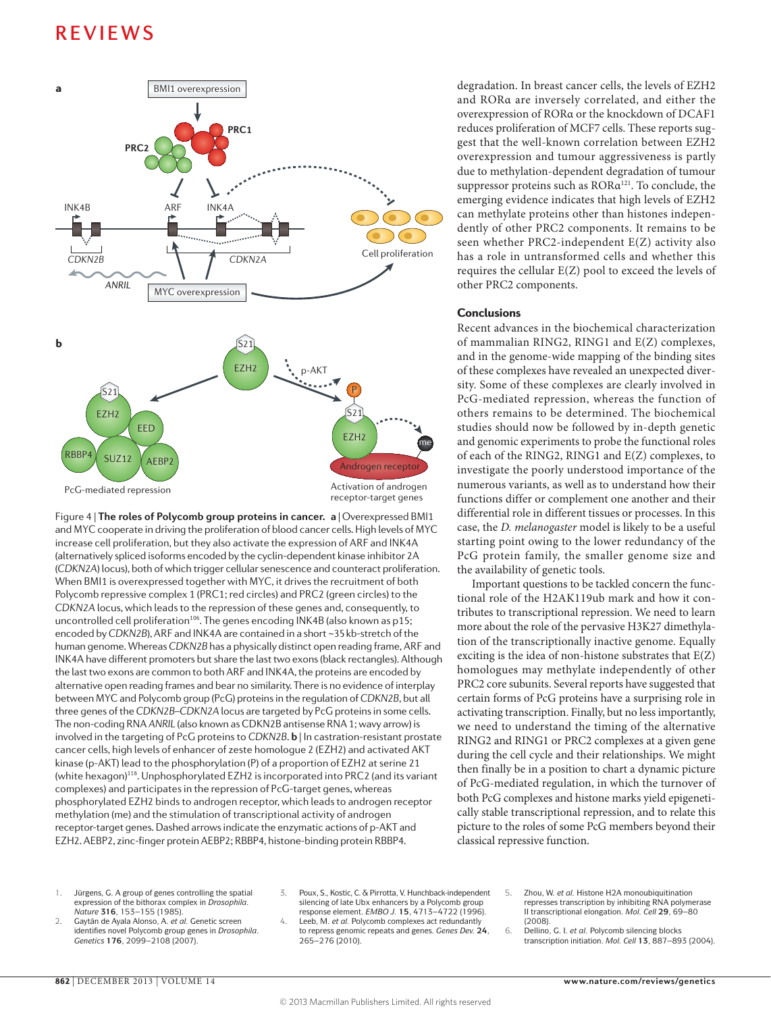

and MYC cooperate in driving the proliferation of blood cancer cells. High levels of MYC Figure 4 | **The roles of Polycomb group proteins in cancer. a** | Overexpressed BMI1 increase cell proliferation, but they also activate the expression of ARF and INK4A (alternatively spliced isoforms encoded by the cyclin-dependent kinase inhibitor 2A (*CDKN2A*) locus), both of which trigger cellular senescence and counteract proliferation. When BMI1 is overexpressed together with MYC, it drives the recruitment of both Polycomb repressive complex 1 (PRC1; red circles) and PRC2 (green circles) to the *CDKN2A* locus, which leads to the repression of these genes and, consequently, to uncontrolled cell proliferation<sup>106</sup>. The genes encoding INK4B (also known as p15; encoded by *CDKN2B*), ARF and INK4A are contained in a short ~35kb-stretch of the human genome. Whereas *CDKN2B* has a physically distinct open reading frame, ARF and INK4A have different promoters but share the last two exons (black rectangles). Although the last two exons are common to both ARF and INK4A, the proteins are encoded by alternative open reading frames and bear no similarity. There is no evidence of interplay between MYC and Polycomb group (PcG) proteins in the regulation of *CDKN2B*, but all three genes of the *CDKN2B*–*CDKN2A* locus are targeted by PcG proteins in some cells. The non-coding RNA *ANRIL* (also known as CDKN2B antisense RNA 1; wavy arrow) is involved in the targeting of PcG proteins to *CDKN2B*. **b** | In castration-resistant prostate cancer cells, high levels of enhancer of zeste homologue 2 (EZH2) and activated AKT kinase (p-AKT) lead to the phosphorylation (P) of a proportion of EZH2 at serine 21 (white hexagon)118. Unphosphorylated EZH2 is incorporated into PRC2 (and its variant complexes) and participates in the repression of PcG-target genes, whereas phosphorylated EZH2 binds to androgen receptor, which leads to androgen receptor methylation (me) and the stimulation of transcriptional activity of androgen receptor-target genes. Dashed arrows indicate the enzymatic actions of p-AKT and EZH2. AEBP2, zinc-finger protein AEBP2; RBBP4, histone-binding protein RBBP4.

degradation. In breast cancer cells, the levels of EZH2 and RORα are inversely correlated, and either the overexpression of RORα or the knockdown of DCAF1 reduces proliferation of MCF7 cells. These reports suggest that the well-known correlation between EZH2 overexpression and tumour aggressiveness is partly due to methylation-dependent degradation of tumour suppressor proteins such as  $RORa^{121}$ . To conclude, the emerging evidence indicates that high levels of EZH2 can methylate proteins other than histones independently of other PRC2 components. It remains to be seen whether PRC2-independent E(Z) activity also has a role in untransformed cells and whether this requires the cellular E(Z) pool to exceed the levels of other PRC2 components.

#### **Conclusions**

Recent advances in the biochemical characterization of mammalian RING2, RING1 and E(Z) complexes, and in the genome-wide mapping of the binding sites of these complexes have revealed an unexpected diversity. Some of these complexes are clearly involved in PcG-mediated repression, whereas the function of others remains to be determined. The biochemical studies should now be followed by in-depth genetic and genomic experiments to probe the functional roles of each of the RING2, RING1 and E(Z) complexes, to investigate the poorly understood importance of the numerous variants, as well as to understand how their functions differ or complement one another and their differential role in different tissues or processes. In this case, the *D. melanogaster* model is likely to be a useful starting point owing to the lower redundancy of the PcG protein family, the smaller genome size and the availability of genetic tools.

Important questions to be tackled concern the functional role of the H2AK119ub mark and how it contributes to transcriptional repression. We need to learn more about the role of the pervasive H3K27 dimethylation of the transcriptionally inactive genome. Equally exciting is the idea of non-histone substrates that E(Z) homologues may methylate independently of other PRC2 core subunits. Several reports have suggested that certain forms of PcG proteins have a surprising role in activating transcription. Finally, but no less importantly, we need to understand the timing of the alternative RING2 and RING1 or PRC2 complexes at a given gene during the cell cycle and their relationships. We might then finally be in a position to chart a dynamic picture of PcG-mediated regulation, in which the turnover of both PcG complexes and histone marks yield epigenetically stable transcriptional repression, and to relate this picture to the roles of some PcG members beyond their classical repressive function.

- 1. Jürgens, G. A group of genes controlling the spatial expression of the bithorax complex in *Drosophila*. *Nature* **316**, 153–155 (1985).
- 2. [Gaytán](http://www.ncbi.nlm.nih.gov/pubmed?term=Gayt%C3%A1n de Ayala Alonso A%5BAuthor%5D&cauthor=true&cauthor_uid=17717194) de Ayala Alonso, A. *et al.* Genetic screen identifies novel Polycomb group genes in *Drosophila*. *Genetics* **176**, 2099–2108 (2007).
- 3. Poux, S., Kostic, C. & Pirrotta, V. Hunchback-independent silencing of late Ubx enhancers by a Polycomb group response element. *EMBO J.* **15**, 4713–4722 (1996).
- Leeb, M. et al. Polycomb complexes act redundantly to repress genomic repeats and genes. *Genes Dev.* **24**, 265–276 (2010).
- 5. Zhou, W. *et al.* Histone H2A monoubiquitination represses transcription by inhibiting RNA polymerase II transcriptional elongation. *Mol. Cell* **29**, 69–80 (2008).
- 6. Dellino, G. I. *et al.* Polycomb silencing blocks transcription initiation. *Mol. Cell* **13**, 887–893 (2004).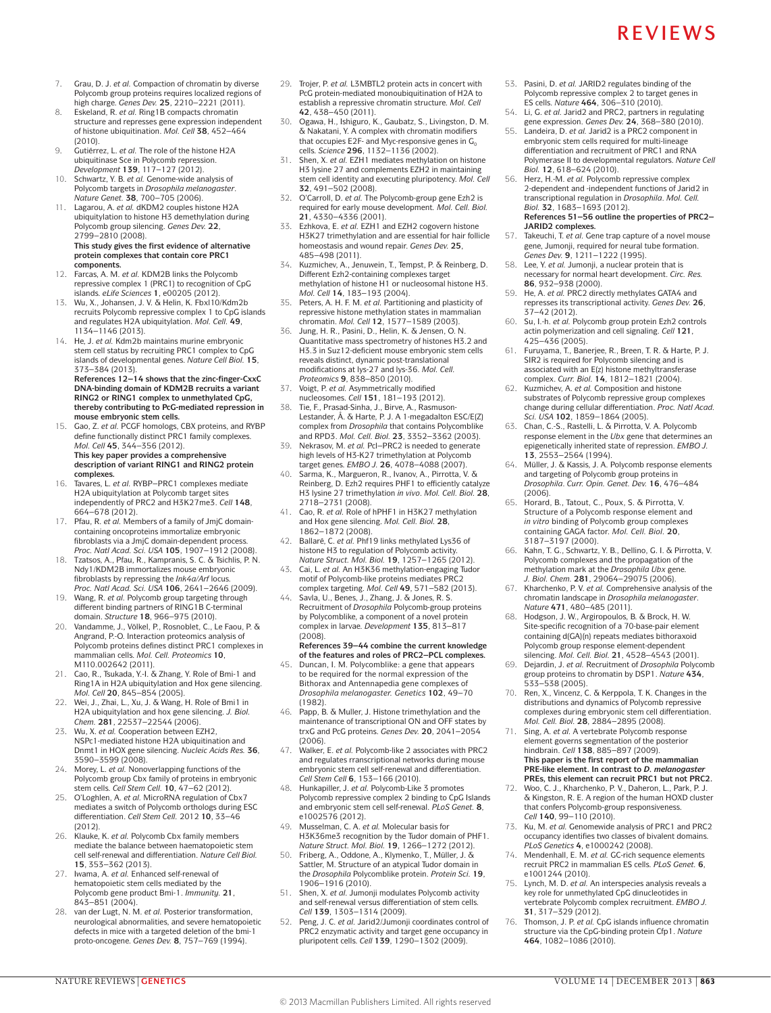- 7. Grau, D. J. *et al.* Compaction of chromatin by diverse Polycomb group proteins requires localized regions of high charge. *Genes Dev.* **25**, 2210–2221 (2011).
- 8. Eskeland, R. *et al.* Ring1B compacts chromatin structure and represses gene expression independent of histone ubiquitination. *Mol. Cell* **38**, 452–464 (2010).
- 9. Gutiérrez, L. *et al.* The role of the histone H2A ubiquitinase Sce in Polycomb repression. *Development* **139**, 117–127 (2012).
- 10. Schwartz, Y. B. *et al.* Genome-wide analysis of Polycomb targets in *Drosophila melanogaster*. *Nature Genet.* **38**, 700–705 (2006).
- 11. Lagarou, A. *et al.* dKDM2 couples histone H2A ubiquitylation to histone H3 demethylation during Polycomb group silencing. *Genes Dev.* **22**, 2799–2810 (2008). **This study gives the first evidence of alternative**

#### **protein complexes that contain core PRC1 components.**

- 12. Farcas, A. M. *et al.* KDM2B links the Polycomb repressive complex 1 (PRC1) to recognition of CpG islands. *eLife Sciences* **1**, e00205 (2012).
- 13. Wu, X., Johansen, J. V. & Helin, K. Fbxl10/Kdm2b recruits Polycomb repressive complex 1 to CpG islands and regulates H2A ubiquitylation. *Mol. Cell.* **49**, 1134–1146 (2013).
- 14. He, J. *et al.* Kdm2b maintains murine embryonic stem cell status by recruiting PRC1 complex to CpG islands of developmental genes. *Nature Cell Biol.* **15**, 373–384 (2013). **References 12–14 shows that the zinc-finger-CxxC DNA-binding domain of KDM2B recruits a variant RING2 or RING1 complex to unmethylated CpG,**

**thereby contributing to PcG-mediated repression in mouse embryonic stem cells.** 15. Gao, Z. *et al.* PCGF homologs, CBX proteins, and RYBP define functionally distinct PRC1 family complexes. *Mol. Cell* **45**, 344–356 (2012).

**This key paper provides a comprehensive description of variant RING1 and RING2 protein complexes.**

- 16. Tavares, L. *et al.* RYBP–PRC1 complexes mediate H2A ubiquitylation at Polycomb target sites independently of PRC2 and H3K27me3. *Cell* **148**, 664–678 (2012).
- 17. Pfau, R. *et al.* Members of a family of JmjC domaincontaining oncoproteins immortalize embryonic fibroblasts via a JmjC domain-dependent process. *Proc. Natl Acad. Sci. USA* **105**, 1907–1912 (2008).
- 18. Tzatsos, A., Pfau, R., Kampranis, S. C. & Tsichlis, P. N. Ndy1/KDM2B immortalizes mouse embryonic fibroblasts by repressing the *Ink4a/Arf* locus. *Proc. Natl Acad. Sci. USA* **106**, 2641–2646 (2009).
- 19. Wang, R. *et al.* Polycomb group targeting through different binding partners of RING1B C-terminal domain. *Structure* **18**, 966–975 (2010).
- 20. Vandamme, J., Völkel, P., Rosnoblet, C., Le Faou, P. & Angrand, P.-O. Interaction proteomics analysis of Polycomb proteins defines distinct PRC1 complexes in mammalian cells. *Mol. Cell. Proteomics* **10**, M110.002642 (2011).
- 21. Cao, R., Tsukada, Y.-I. & Zhang, Y. Role of Bmi-1 and Ring1A in H2A ubiquitylation and Hox gene silencing. *Mol. Cell* **20**, 845–854 (2005).
- 22. Wei, J., Zhai, L., Xu, J. & Wang, H. Role of Bmi1 in H2A ubiquitylation and hox gene silencing. *J. Biol. Chem.* **281**, 22537–22544 (2006).
- 23. Wu, X. *et al.* Cooperation between EZH2, NSPc1-mediated histone H2A ubiquitination and Dnmt1 in HOX gene silencing. *Nucleic Acids Res.* **36**, 3590–3599 (2008).
- 24. Morey, L. *et al.* Nonoverlapping functions of the Polycomb group Cbx family of proteins in embryonic stem cells. *Cell Stem Cell.* **10**, 47–62 (2012).
- 25. O'Loghlen, A. *et al.* MicroRNA regulation of Cbx7 mediates a switch of Polycomb orthologs during ESC differentiation. *Cell Stem Cell.* 2012 **10**, 33–46 (2012).
- 26. Klauke, K. *et al.* Polycomb Cbx family members mediate the balance between haematopoietic stem cell self-renewal and differentiation. *Nature Cell Biol.*  **15**, 353–362 (2013).
- Iwama, A. *et al.* Enhanced self-renewal of hematopoietic stem cells mediated by the Polycomb gene product Bmi-1. *Immunity.* **21**, 843–851 (2004).
- 28. van der Lugt, N. M. *et al.* Posterior transformation, neurological abnormalities, and severe hematopoietic defects in mice with a targeted deletion of the bmi-1 proto-oncogene. *Genes Dev.* **8**, 757–769 (1994).
- 29. Trojer, P. *et al.* L3MBTL2 protein acts in concert with PcG protein-mediated monoubiquitination of H2A to establish a repressive chromatin structure. *Mol. Cell*  **42**, 438–450 (2011).
- 30. Ogawa, H., Ishiguro, K., Gaubatz, S., Livingston, D. M. & Nakatani, Y. A complex with chromatin modifiers that occupies E2F- and Myc-responsive genes in  $G_0$ cells. *Science* **296**, 1132–1136 (2002).
- 31. Shen, X. *et al.* EZH1 mediates methylation on histone H3 lysine 27 and complements EZH2 in maintaining stem cell identity and executing pluripotency. *Mol. Cell*  **32**, 491–502 (2008).
- 32. O'Carroll, D. *et al.* The Polycomb-group gene Ezh2 is required for early mouse development*. Mol. Cell. Biol.*  **21**, 4330–4336 (2001).
- 33. Ezhkova, E. *et al.* EZH1 and EZH2 cogovern histone H3K27 trimethylation and are essential for hair follicle homeostasis and wound repair. *Genes Dev.* **25**, 485–498 (2011).
- 34. Kuzmichev, A., Jenuwein, T., Tempst, P. & Reinberg, D. Different Ezh2-containing complexes target methylation of histone H1 or nucleosomal histone H3. *Mol. Cell* **14**, 183–193 (2004).
- Peters, A. H. F. M. *et al.* Partitioning and plasticity of repressive histone methylation states in mammalian chromatin. *Mol. Cell* **12**, 1577–1589 (2003).
- Jung, H. R., Pasini, D., Helin, K. & Jensen, O. N. Quantitative mass spectrometry of histones H3.2 and H3.3 in Suz12-deficient mouse embryonic stem cells reveals distinct, dynamic post-translational modifications at lys-27 and lys-36. *Mol. Cell. Proteomics* **9**, 838–850 (2010).
- 37. Voigt, P. *et al.* Asymmetrically modified nucleosomes. *Cell* **151**, 181–193 (2012).
- 38. Tie, F., Prasad-Sinha, J., Birve, A., Rasmuson-Lestander, Å. & Harte, P. J. A 1-megadalton ESC/E(Z) complex from *Drosophila* that contains Polycomblike and RPD3. *Mol. Cell. Biol.* **23**, 3352–3362 (2003).
- Nekrasov, M. *et al.* Pcl–PRC2 is needed to generate high levels of H3-K27 trimethylation at Polycomb target genes. *EMBO J.* **26**, 4078–4088 (2007).
- 40. Sarma, K., Margueron, R., Ivanov, A., Pirrotta, V. & Reinberg, D. Ezh2 requires PHF1 to efficiently catalyze H3 lysine 27 trimethylation *in vivo*. *Mol. Cell. Biol.* **28**, 2718–2731 (2008).
- 41. Cao, R. *et al.* Role of hPHF1 in H3K27 methylation and Hox gene silencing. *Mol. Cell. Biol.* **28**, 1862–1872 (2008).
- 42. Ballaré, C. *et al.* Phf19 links methylated Lys36 of histone H3 to regulation of Polycomb activity. *Nature Struct. Mol. Biol.* **19**, 1257–1265 (2012).
- 43. Cai, L. *et al.* An H3K36 methylation-engaging Tudor motif of Polycomb-like proteins mediates PRC2 complex targeting. *Mol. Cell* **49**, 571–582 (2013).
- 44. Savla, U., Benes, J., Zhang, J. & Jones, R. S. Recruitment of *Drosophila* Polycomb-group proteins by Polycomblike, a component of a novel protein complex in larvae. *Development* **135**, 813–817  $(2008)$ .

**References 39–44 combine the current knowledge of the features and roles of PRC2–PCL complexes.**

- 45. Duncan, I. M. Polycomblike: a gene that appears to be required for the normal expression of the Bithorax and Antennapedia gene complexes of *Drosophila melanogaster. Genetics* **102**, 49–70 (1982).
- 46. Papp, B. & Muller, J. Histone trimethylation and the maintenance of transcriptional ON and OFF states by trxG and PcG proteins. *Genes Dev.* **20**, 2041–2054 (2006).
- 47. Walker, E. *et al.* Polycomb-like 2 associates with PRC2 and regulates rranscriptional networks during mouse embryonic stem cell self-renewal and differentiation.
- *Cell Stem Cell* **6**, 153–166 (2010). 48. Hunkapiller, J. *et al.* Polycomb-Like 3 promotes Polycomb repressive complex 2 binding to CpG Islands and embryonic stem cell self-renewal. *PLoS Genet.* **8**, e1002576 (2012).
- 49. Musselman, C. A. *et al.* Molecular basis for H3K36me3 recognition by the Tudor domain of PHF1. *Nature Struct. Mol. Biol.* **19**, 1266–1272 (2012).
- 50. Friberg, A., Oddone, A., Klymenko, T., Müller, J. & Sattler, M. Structure of an atypical Tudor domain in the *Drosophila* Polycomblike protein. *Protein Sci.* **19**, 1906–1916 (2010).
- 51. Shen, X. *et al.* Jumonji modulates Polycomb activity and self-renewal versus differentiation of stem cells. *Cell* **139**, 1303–1314 (2009).
- 52. Peng, J. C. *et al.* Jarid2/Jumonji coordinates control of PRC2 enzymatic activity and target gene occupancy in pluripotent cells. *Cell* **139**, 1290–1302 (2009).
- 53. Pasini, D. *et al.* JARID2 regulates binding of the Polycomb repressive complex 2 to target genes in ES cells. *Nature* **464**, 306–310 (2010).
- 54. Li, G. *et al.* Jarid2 and PRC2, partners in regulating gene expression. *Genes Dev.* **24**, 368–380 (2010).
- 55. Landeira, D. *et al.* Jarid2 is a PRC2 component in embryonic stem cells required for multi-lineage differentiation and recruitment of PRC1 and RNA Polymerase II to developmental regulators. *Nature Cell Biol.* **12**, 618–624 (2010).
- 56. Herz, H.-M. *et al.* Polycomb repressive complex 2-dependent and -independent functions of Jarid2 in transcriptional regulation in *Drosophila*. *Mol. Cell. Biol.* **32**, 1683–1693 (2012). **References 51–56 outline the properties of PRC2–**

**JARID2 complexes.** 57. Takeuchi, T. *et al.* Gene trap capture of a novel mouse

- gene, Jumonji, required for neural tube formation. *Genes Dev.* **9**, 1211–1222 (1995).
- 58. Lee, Y. *et al.* Jumonji, a nuclear protein that is necessary for normal heart development. *Circ. Res.*  **86**, 932–938 (2000).
- 59. He, A. *et al.* PRC2 directly methylates GATA4 and represses its transcriptional activity. *Genes Dev.* **26**, 37–42 (2012).
- 60. Su, I.-h. *et al.* Polycomb group protein Ezh2 controls actin polymerization and cell signaling. *Cell* **121**, 425–436 (2005).
- 61. Furuyama, T., Banerjee, R., Breen, T. R. & Harte, P. J. SIR2 is required for Polycomb silencing and is associated with an E(z) histone methyltransferase complex. *Curr. Biol.* **14**, 1812–1821 (2004).
- 62. Kuzmichev, A. *et al.* Composition and histone substrates of Polycomb repressive group complexes change during cellular differentiation. *Proc. Natl Acad.*
- *Sci. USA* **102**, 1859–1864 (2005). 63. Chan, C.-S., Rastelli, L. & Pirrotta, V. A. Polycomb response element in the *Ubx* gene that determines an epigenetically inherited state of repression. *EMBO J.*  **13**, 2553–2564 (1994).
- 64. Müller, J. & Kassis, J. A. Polycomb response elements and targeting of Polycomb group proteins in *Drosophila*. *Curr. Opin. Genet. Dev.* **16**, 476–484 (2006).
- 65. Horard, B., Tatout, C., Poux, S. & Pirrotta, V. Structure of a Polycomb response element and *in vitro* binding of Polycomb group complexes containing GAGA factor. *Mol. Cell. Biol.* **20**, 3187–3197 (2000).
- Kahn, T. G., Schwartz, Y. B., Dellino, G. I. & Pirrotta, V. Polycomb complexes and the propagation of the methylation mark at the *Drosophila Ubx* gene.
- *J. Biol. Chem.* **281**, 29064–29075 (2006). 67. Kharchenko, P. V. *et al.* Comprehensive analysis of the chromatin landscape in *Drosophila melanogaster*. *Nature* **471**, 480–485 (2011).
- 68. Hodgson, J. W., Argiropoulos, B. & Brock, H. W. Site-specific recognition of a 70-base-pair element containing d(GA)(n) repeats mediates bithoraxoid Polycomb group response element-dependent silencing. *Mol. Cell. Biol.* **21**, 4528–4543 (2001).
- 69. Dejardin, J. *et al.* Recruitment of *Drosophila* Polycomb group proteins to chromatin by DSP1. *Nature* **434**,
- 533–538 (2005). 70. Ren, X., Vincenz, C. & Kerppola, T. K. Changes in the distributions and dynamics of Polycomb repressive complexes during embryonic stem cell differentiation. *Mol. Cell. Biol.* **28**, 2884–2895 (2008).
- 71. Sing, A. *et al.* A vertebrate Polycomb response element governs segmentation of the posterior hindbrain. *Cell* **138**, 885–897 (2009). **This paper is the first report of the mammalian PRE-like element. In contrast to** *D. melanogaster*
- **PREs, this element can recruit PRC1 but not PRC2.** 72. Woo, C. J., Kharchenko, P. V., Daheron, L., Park, P. J. & Kingston, R. E. A region of the human HOXD cluster that confers Polycomb-group responsiveness. *Cell* **140**, 99–110 (2010).
- Ku, M. et al. Genomewide analysis of PRC1 and PRC2 occupancy identifies two classes of bivalent domains. *PLoS Genetics* **4**, e1000242 (2008).
- 74. Mendenhall, E. M. *et al.* GC-rich sequence elements recruit PRC2 in mammalian ES cells. *PLoS Genet.* **6**, e1001244 (2010).
- Lynch, M. D. et al. An interspecies analysis reveals a key role for unmethylated CpG dinucleotides in vertebrate Polycomb complex recruitment. *EMBO J.*  **31**, 317–329 (2012).
- 76. Thomson, J. P. *et al.* CpG islands influence chromatin structure via the CpG-binding protein Cfp1. *Nature*  **464**, 1082–1086 (2010).